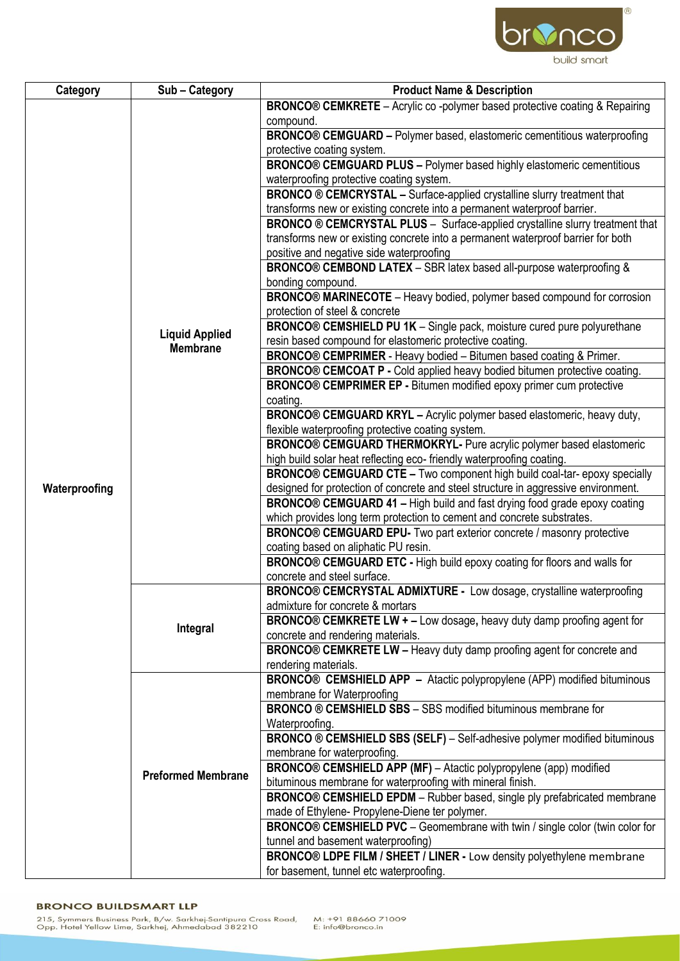

| Category      | Sub-Category                             | <b>Product Name &amp; Description</b>                                               |
|---------------|------------------------------------------|-------------------------------------------------------------------------------------|
|               |                                          | <b>BRONCO® CEMKRETE</b> – Acrylic co -polymer based protective coating & Repairing  |
|               |                                          | compound.                                                                           |
|               |                                          | BRONCO® CEMGUARD - Polymer based, elastomeric cementitious waterproofing            |
|               | <b>Liquid Applied</b><br><b>Membrane</b> | protective coating system.                                                          |
|               |                                          | <b>BRONCO® CEMGUARD PLUS - Polymer based highly elastomeric cementitious</b>        |
|               |                                          | waterproofing protective coating system.                                            |
|               |                                          | <b>BRONCO ® CEMCRYSTAL</b> - Surface-applied crystalline slurry treatment that      |
|               |                                          | transforms new or existing concrete into a permanent waterproof barrier.            |
|               |                                          | <b>BRONCO ® CEMCRYSTAL PLUS - Surface-applied crystalline slurry treatment that</b> |
|               |                                          | transforms new or existing concrete into a permanent waterproof barrier for both    |
|               |                                          | positive and negative side waterproofing                                            |
|               |                                          | BRONCO® CEMBOND LATEX - SBR latex based all-purpose waterproofing &                 |
|               |                                          | bonding compound.                                                                   |
|               |                                          | BRONCO® MARINECOTE - Heavy bodied, polymer based compound for corrosion             |
|               |                                          | protection of steel & concrete                                                      |
|               |                                          | <b>BRONCO® CEMSHIELD PU 1K - Single pack, moisture cured pure polyurethane</b>      |
|               |                                          | resin based compound for elastomeric protective coating.                            |
|               |                                          | <b>BRONCO® CEMPRIMER</b> - Heavy bodied - Bitumen based coating & Primer.           |
|               |                                          | BRONCO® CEMCOAT P - Cold applied heavy bodied bitumen protective coating.           |
|               |                                          | BRONCO® CEMPRIMER EP - Bitumen modified epoxy primer cum protective                 |
|               |                                          | coating.                                                                            |
|               |                                          | BRONCO® CEMGUARD KRYL - Acrylic polymer based elastomeric, heavy duty,              |
|               |                                          | flexible waterproofing protective coating system.                                   |
|               |                                          | BRONCO® CEMGUARD THERMOKRYL- Pure acrylic polymer based elastomeric                 |
|               |                                          | high build solar heat reflecting eco-friendly waterproofing coating.                |
|               |                                          | BRONCO® CEMGUARD CTE - Two component high build coal-tar- epoxy specially           |
| Waterproofing |                                          | designed for protection of concrete and steel structure in aggressive environment.  |
|               |                                          | <b>BRONCO® CEMGUARD 41 - High build and fast drying food grade epoxy coating</b>    |
|               |                                          | which provides long term protection to cement and concrete substrates.              |
|               |                                          | BRONCO® CEMGUARD EPU- Two part exterior concrete / masonry protective               |
|               |                                          | coating based on aliphatic PU resin.                                                |
|               |                                          | BRONCO® CEMGUARD ETC - High build epoxy coating for floors and walls for            |
|               |                                          | concrete and steel surface.                                                         |
|               | Integral                                 | BRONCO® CEMCRYSTAL ADMIXTURE - Low dosage, crystalline waterproofing                |
|               |                                          | admixture for concrete & mortars                                                    |
|               |                                          | <b>BRONCO® CEMKRETE LW + - Low dosage, heavy duty damp proofing agent for</b>       |
|               |                                          | concrete and rendering materials.                                                   |
|               |                                          | <b>BRONCO® CEMKRETE LW - Heavy duty damp proofing agent for concrete and</b>        |
|               |                                          | rendering materials.                                                                |
|               | <b>Preformed Membrane</b>                | <b>BRONCO® CEMSHIELD APP</b> - Atactic polypropylene (APP) modified bituminous      |
|               |                                          | membrane for Waterproofing                                                          |
|               |                                          | <b>BRONCO ® CEMSHIELD SBS - SBS modified bituminous membrane for</b>                |
|               |                                          | Waterproofing.                                                                      |
|               |                                          | BRONCO ® CEMSHIELD SBS (SELF) - Self-adhesive polymer modified bituminous           |
|               |                                          | membrane for waterproofing.                                                         |
|               |                                          | BRONCO® CEMSHIELD APP (MF) - Atactic polypropylene (app) modified                   |
|               |                                          | bituminous membrane for waterproofing with mineral finish.                          |
|               |                                          | <b>BRONCO® CEMSHIELD EPDM</b> - Rubber based, single ply prefabricated membrane     |
|               |                                          | made of Ethylene- Propylene-Diene ter polymer.                                      |
|               |                                          | <b>BRONCO® CEMSHIELD PVC</b> – Geomembrane with twin / single color (twin color for |
|               |                                          | tunnel and basement waterproofing)                                                  |
|               |                                          | BRONCO® LDPE FILM / SHEET / LINER - Low density polyethylene membrane               |
|               |                                          | for basement, tunnel etc waterproofing.                                             |

## **BRONCO BUILDSMART LLP**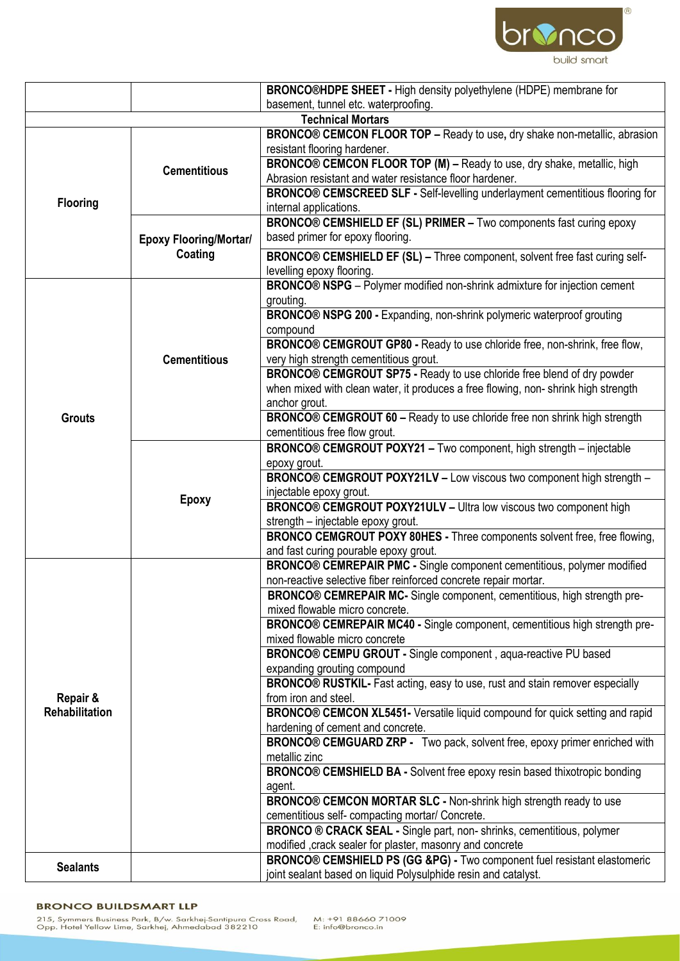

|                            |                                          | <b>BRONCO®HDPE SHEET - High density polyethylene (HDPE) membrane for</b>                                        |
|----------------------------|------------------------------------------|-----------------------------------------------------------------------------------------------------------------|
|                            |                                          | basement, tunnel etc. waterproofing.                                                                            |
|                            |                                          | <b>Technical Mortars</b>                                                                                        |
| <b>Flooring</b>            | <b>Cementitious</b>                      | BRONCO® CEMCON FLOOR TOP - Ready to use, dry shake non-metallic, abrasion                                       |
|                            |                                          | resistant flooring hardener.                                                                                    |
|                            |                                          | <b>BRONCO® CEMCON FLOOR TOP (M) - Ready to use, dry shake, metallic, high</b>                                   |
|                            |                                          | Abrasion resistant and water resistance floor hardener.                                                         |
|                            |                                          | BRONCO® CEMSCREED SLF - Self-levelling underlayment cementitious flooring for                                   |
|                            |                                          | internal applications.<br>BRONCO® CEMSHIELD EF (SL) PRIMER - Two components fast curing epoxy                   |
|                            | <b>Epoxy Flooring/Mortar/</b><br>Coating | based primer for epoxy flooring.                                                                                |
|                            |                                          |                                                                                                                 |
|                            |                                          | BRONCO® CEMSHIELD EF (SL) - Three component, solvent free fast curing self-                                     |
|                            |                                          | levelling epoxy flooring.<br>BRONCO® NSPG - Polymer modified non-shrink admixture for injection cement          |
|                            |                                          | grouting.                                                                                                       |
|                            |                                          | BRONCO® NSPG 200 - Expanding, non-shrink polymeric waterproof grouting                                          |
|                            |                                          | compound                                                                                                        |
|                            |                                          | BRONCO® CEMGROUT GP80 - Ready to use chloride free, non-shrink, free flow,                                      |
|                            | <b>Cementitious</b>                      | very high strength cementitious grout.                                                                          |
|                            |                                          | BRONCO® CEMGROUT SP75 - Ready to use chloride free blend of dry powder                                          |
|                            |                                          | when mixed with clean water, it produces a free flowing, non-shrink high strength                               |
|                            |                                          | anchor grout.                                                                                                   |
| <b>Grouts</b>              |                                          | <b>BRONCO® CEMGROUT 60 - Ready to use chloride free non shrink high strength</b>                                |
|                            |                                          | cementitious free flow grout.                                                                                   |
|                            |                                          | BRONCO® CEMGROUT POXY21 - Two component, high strength - injectable                                             |
|                            |                                          | epoxy grout.                                                                                                    |
|                            | <b>Epoxy</b>                             | BRONCO® CEMGROUT POXY21LV - Low viscous two component high strength -                                           |
|                            |                                          | injectable epoxy grout.                                                                                         |
|                            |                                          | BRONCO® CEMGROUT POXY21ULV - Ultra low viscous two component high                                               |
|                            |                                          | strength - injectable epoxy grout.<br>BRONCO CEMGROUT POXY 80HES - Three components solvent free, free flowing, |
|                            |                                          | and fast curing pourable epoxy grout.                                                                           |
|                            |                                          | <b>BRONCO® CEMREPAIR PMC - Single component cementitious, polymer modified</b>                                  |
|                            |                                          | non-reactive selective fiber reinforced concrete repair mortar.                                                 |
|                            |                                          | BRONCO® CEMREPAIR MC- Single component, cementitious, high strength pre-                                        |
|                            |                                          | mixed flowable micro concrete.                                                                                  |
|                            |                                          | BRONCO® CEMREPAIR MC40 - Single component, cementitious high strength pre-                                      |
|                            |                                          | mixed flowable micro concrete                                                                                   |
|                            |                                          | BRONCO® CEMPU GROUT - Single component, aqua-reactive PU based                                                  |
|                            |                                          | expanding grouting compound                                                                                     |
|                            |                                          | BRONCO® RUSTKIL- Fast acting, easy to use, rust and stain remover especially                                    |
| Repair &<br>Rehabilitation |                                          | from iron and steel.                                                                                            |
|                            |                                          | BRONCO® CEMCON XL5451- Versatile liquid compound for quick setting and rapid                                    |
|                            |                                          | hardening of cement and concrete.<br>BRONCO® CEMGUARD ZRP - Two pack, solvent free, epoxy primer enriched with  |
|                            |                                          | metallic zinc                                                                                                   |
|                            |                                          | BRONCO® CEMSHIELD BA - Solvent free epoxy resin based thixotropic bonding                                       |
|                            |                                          | agent.                                                                                                          |
|                            |                                          | BRONCO® CEMCON MORTAR SLC - Non-shrink high strength ready to use                                               |
|                            |                                          | cementitious self- compacting mortar/ Concrete.                                                                 |
|                            |                                          | BRONCO ® CRACK SEAL - Single part, non-shrinks, cementitious, polymer                                           |
|                            |                                          | modified , crack sealer for plaster, masonry and concrete                                                       |
| <b>Sealants</b>            |                                          | BRONCO® CEMSHIELD PS (GG &PG) - Two component fuel resistant elastomeric                                        |
|                            |                                          | joint sealant based on liquid Polysulphide resin and catalyst.                                                  |

## **BRONCO BUILDSMART LLP**